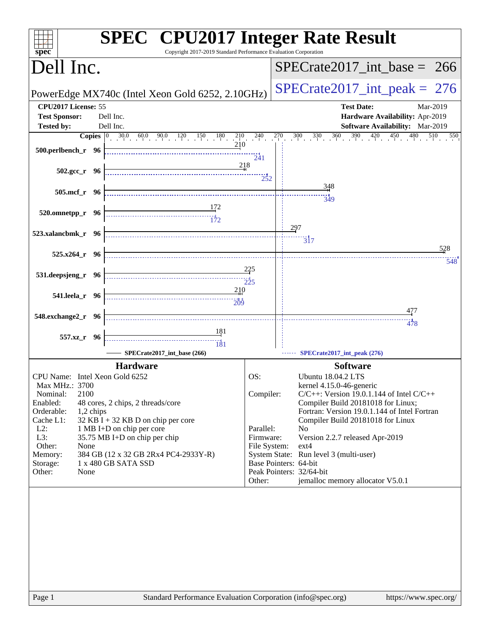| spec                                                                                                                                                                                                                                                     | <b>SPEC<sup>®</sup></b> CPU2017 Integer Rate Result<br>Copyright 2017-2019 Standard Performance Evaluation Corporation                                                                                                                                                                                                                                                                                                                                                                                                                                                 |                                                                      |                                                                                                                                                 |                                                                                                                                                                                                                                                                             |            |
|----------------------------------------------------------------------------------------------------------------------------------------------------------------------------------------------------------------------------------------------------------|------------------------------------------------------------------------------------------------------------------------------------------------------------------------------------------------------------------------------------------------------------------------------------------------------------------------------------------------------------------------------------------------------------------------------------------------------------------------------------------------------------------------------------------------------------------------|----------------------------------------------------------------------|-------------------------------------------------------------------------------------------------------------------------------------------------|-----------------------------------------------------------------------------------------------------------------------------------------------------------------------------------------------------------------------------------------------------------------------------|------------|
| Dell Inc.                                                                                                                                                                                                                                                |                                                                                                                                                                                                                                                                                                                                                                                                                                                                                                                                                                        |                                                                      |                                                                                                                                                 | $SPECTate2017\_int\_base = 266$                                                                                                                                                                                                                                             |            |
|                                                                                                                                                                                                                                                          | PowerEdge MX740c (Intel Xeon Gold 6252, 2.10GHz)                                                                                                                                                                                                                                                                                                                                                                                                                                                                                                                       |                                                                      |                                                                                                                                                 | $SPECrate2017\_int\_peak = 276$                                                                                                                                                                                                                                             |            |
| CPU2017 License: 55<br><b>Test Sponsor:</b><br>Dell Inc.                                                                                                                                                                                                 |                                                                                                                                                                                                                                                                                                                                                                                                                                                                                                                                                                        |                                                                      |                                                                                                                                                 | <b>Test Date:</b><br>Hardware Availability: Apr-2019                                                                                                                                                                                                                        | Mar-2019   |
| Dell Inc.<br><b>Tested by:</b>                                                                                                                                                                                                                           |                                                                                                                                                                                                                                                                                                                                                                                                                                                                                                                                                                        |                                                                      |                                                                                                                                                 | <b>Software Availability:</b> Mar-2019                                                                                                                                                                                                                                      |            |
| $500.$ perlbench_r 96                                                                                                                                                                                                                                    | <b>Copies</b> $\begin{bmatrix} 0 & 30.0 & 60.0 & 90.0 & 120 & 150 & 180 & 210 & 240 \end{bmatrix}$<br>210                                                                                                                                                                                                                                                                                                                                                                                                                                                              | $\frac{1}{241}$                                                      | $270$ $300$ $330$ $360$                                                                                                                         | $390 \t 420 \t 450$<br>480                                                                                                                                                                                                                                                  | 510<br>550 |
| $502.\text{gcc}_r$ 96                                                                                                                                                                                                                                    | 218                                                                                                                                                                                                                                                                                                                                                                                                                                                                                                                                                                    | 252                                                                  |                                                                                                                                                 |                                                                                                                                                                                                                                                                             |            |
| 505.mcf_r 96                                                                                                                                                                                                                                             |                                                                                                                                                                                                                                                                                                                                                                                                                                                                                                                                                                        |                                                                      | 348<br>349                                                                                                                                      |                                                                                                                                                                                                                                                                             |            |
| 520.omnetpp_r 96                                                                                                                                                                                                                                         |                                                                                                                                                                                                                                                                                                                                                                                                                                                                                                                                                                        |                                                                      |                                                                                                                                                 |                                                                                                                                                                                                                                                                             |            |
| 523.xalancbmk_r 96                                                                                                                                                                                                                                       |                                                                                                                                                                                                                                                                                                                                                                                                                                                                                                                                                                        |                                                                      | 297<br>$\overline{3}17$                                                                                                                         |                                                                                                                                                                                                                                                                             |            |
| $525.x264$ $r$ 96                                                                                                                                                                                                                                        |                                                                                                                                                                                                                                                                                                                                                                                                                                                                                                                                                                        |                                                                      |                                                                                                                                                 |                                                                                                                                                                                                                                                                             | 528<br>548 |
| 531.deepsjeng_r 96                                                                                                                                                                                                                                       | $\overbrace{ \begin{array}{c} 1 \end{array}} \begin{array}{c} \begin{array}{c} \end{array}} \begin{array}{c} \end{array}} \begin{array}{c} \end{array}} \begin{array}{c} \end{array}} \begin{array}{c} \end{array}} \begin{array}{c} \end{array}} \begin{array}{c} \end{array}} \begin{array}{c} \end{array}} \begin{array}{c} \end{array}} \begin{array}{c} \end{array}} \begin{array}{c} \end{array}} \begin{array}{c} \end{array}} \begin{array}{c} \end{array}} \begin{array}{c} \end{array}} \begin{array}{c} \end{array}} \begin{array}{c} \end{array}} \begin{$ | 225                                                                  |                                                                                                                                                 |                                                                                                                                                                                                                                                                             |            |
| 541.leela_r 96                                                                                                                                                                                                                                           | 210<br>209                                                                                                                                                                                                                                                                                                                                                                                                                                                                                                                                                             |                                                                      |                                                                                                                                                 |                                                                                                                                                                                                                                                                             |            |
| 548.exchange2_r 96                                                                                                                                                                                                                                       |                                                                                                                                                                                                                                                                                                                                                                                                                                                                                                                                                                        |                                                                      |                                                                                                                                                 | 477<br>478                                                                                                                                                                                                                                                                  |            |
| 557.xz_r 96                                                                                                                                                                                                                                              | <u>181</u><br>$\frac{131}{181}$                                                                                                                                                                                                                                                                                                                                                                                                                                                                                                                                        |                                                                      |                                                                                                                                                 |                                                                                                                                                                                                                                                                             |            |
|                                                                                                                                                                                                                                                          | SPECrate2017_int_base (266)<br><b>Hardware</b>                                                                                                                                                                                                                                                                                                                                                                                                                                                                                                                         |                                                                      |                                                                                                                                                 | SPECrate2017_int_peak (276)<br><b>Software</b>                                                                                                                                                                                                                              |            |
| CPU Name: Intel Xeon Gold 6252<br>Max MHz.: 3700<br>Nominal:<br>2100<br>Enabled:<br>Orderable:<br>1,2 chips<br>Cache L1:<br>$L2$ :<br>1 MB I+D on chip per core<br>L3:<br>Other:<br>None<br>Memory:<br>1 x 480 GB SATA SSD<br>Storage:<br>Other:<br>None | 48 cores, 2 chips, 2 threads/core<br>$32$ KB I + 32 KB D on chip per core<br>35.75 MB I+D on chip per chip<br>384 GB (12 x 32 GB 2Rx4 PC4-2933Y-R)                                                                                                                                                                                                                                                                                                                                                                                                                     | OS:<br>Compiler:<br>Parallel:<br>Firmware:<br>File System:<br>Other: | Ubuntu 18.04.2 LTS<br>N <sub>0</sub><br>$ext{4}$<br>System State: Run level 3 (multi-user)<br>Base Pointers: 64-bit<br>Peak Pointers: 32/64-bit | kernel 4.15.0-46-generic<br>$C/C++$ : Version 19.0.1.144 of Intel $C/C++$<br>Compiler Build 20181018 for Linux;<br>Fortran: Version 19.0.1.144 of Intel Fortran<br>Compiler Build 20181018 for Linux<br>Version 2.2.7 released Apr-2019<br>jemalloc memory allocator V5.0.1 |            |
| Page 1                                                                                                                                                                                                                                                   | Standard Performance Evaluation Corporation (info@spec.org)                                                                                                                                                                                                                                                                                                                                                                                                                                                                                                            |                                                                      |                                                                                                                                                 | https://www.spec.org/                                                                                                                                                                                                                                                       |            |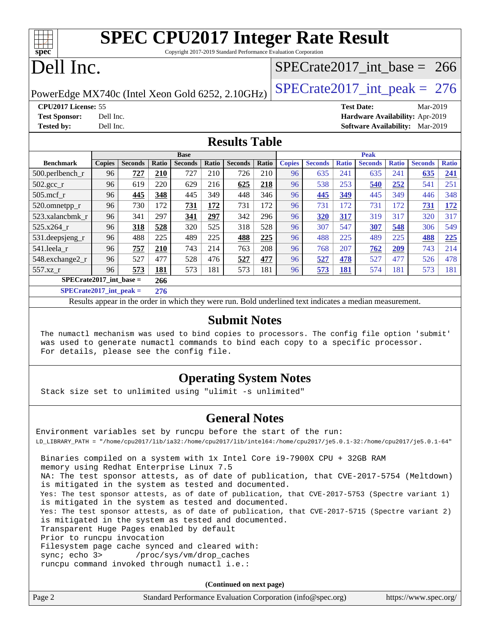| Spec | <b>SPEC CPU2017 Integer Rate Result</b><br>Copyright 2017-2019 Standard Performance Evaluation Corporation |
|------|------------------------------------------------------------------------------------------------------------|
|      | Dell Inc.<br>SPECrate2017 int base = $266$                                                                 |

PowerEdge MX740c (Intel Xeon Gold 6252, 2.10GHz)  $\left|$  SPECrate 2017 int peak = 276

**[Tested by:](http://www.spec.org/auto/cpu2017/Docs/result-fields.html#Testedby)** Dell Inc. **[Software Availability:](http://www.spec.org/auto/cpu2017/Docs/result-fields.html#SoftwareAvailability)** Mar-2019

**[CPU2017 License:](http://www.spec.org/auto/cpu2017/Docs/result-fields.html#CPU2017License)** 55 **[Test Date:](http://www.spec.org/auto/cpu2017/Docs/result-fields.html#TestDate)** Mar-2019 **[Test Sponsor:](http://www.spec.org/auto/cpu2017/Docs/result-fields.html#TestSponsor)** Dell Inc. **[Hardware Availability:](http://www.spec.org/auto/cpu2017/Docs/result-fields.html#HardwareAvailability)** Apr-2019

### **[Results Table](http://www.spec.org/auto/cpu2017/Docs/result-fields.html#ResultsTable)**

| <b>Base</b>               |               |                |       |                | <b>Peak</b> |                |       |               |                |              |                |              |                |              |
|---------------------------|---------------|----------------|-------|----------------|-------------|----------------|-------|---------------|----------------|--------------|----------------|--------------|----------------|--------------|
| <b>Benchmark</b>          | <b>Copies</b> | <b>Seconds</b> | Ratio | <b>Seconds</b> | Ratio       | <b>Seconds</b> | Ratio | <b>Copies</b> | <b>Seconds</b> | <b>Ratio</b> | <b>Seconds</b> | <b>Ratio</b> | <b>Seconds</b> | <b>Ratio</b> |
| $500$ .perlbench r        | 96            | 727            | 210   | 727            | 210         | 726            | 210   | 96            | 635            | 241          | 635            | 241          | 635            | <u>241</u>   |
| $502.\text{sec}$          | 96            | 619            | 220   | 629            | 216         | 625            | 218   | 96            | 538            | 253          | 540            | 252          | 541            | 251          |
| $505$ .mcf r              | 96            | 445            | 348   | 445            | 349         | 448            | 346   | 96            | 445            | 349          | 445            | 349          | 446            | 348          |
| 520.omnetpp_r             | 96            | 730            | 172   | 731            | 172         | 731            | 172   | 96            | 731            | 172          | 731            | 172          | 731            | <u>172</u>   |
| 523.xalancbmk r           | 96            | 341            | 297   | 341            | <u>297</u>  | 342            | 296   | 96            | 320            | 317          | 319            | 317          | 320            | 317          |
| 525.x264 r                | 96            | 318            | 528   | 320            | 525         | 318            | 528   | 96            | 307            | 547          | 307            | 548          | 306            | 549          |
| $531.$ deepsjeng $_r$     | 96            | 488            | 225   | 489            | 225         | 488            | 225   | 96            | 488            | 225          | 489            | 225          | 488            | 225          |
| 541.leela r               | 96            | 757            | 210   | 743            | 214         | 763            | 208   | 96            | 768            | 207          | 762            | 209          | 743            | 214          |
| 548.exchange2_r           | 96            | 527            | 477   | 528            | 476         | 527            | 477   | 96            | 527            | 478          | 527            | 477          | 526            | 478          |
| 557.xz r                  | 96            | 573            | 181   | 573            | 181         | 573            | 181   | 96            | 573            | <u>181</u>   | 574            | 181          | 573            | 181          |
| $SPECrate2017$ int base = |               |                | 266   |                |             |                |       |               |                |              |                |              |                |              |
| $C1 = C2 + C3 + C4 + C5$  |               |                | ---   |                |             |                |       |               |                |              |                |              |                |              |

**[SPECrate2017\\_int\\_peak =](http://www.spec.org/auto/cpu2017/Docs/result-fields.html#SPECrate2017intpeak) 276**

Results appear in the [order in which they were run](http://www.spec.org/auto/cpu2017/Docs/result-fields.html#RunOrder). Bold underlined text [indicates a median measurement](http://www.spec.org/auto/cpu2017/Docs/result-fields.html#Median).

### **[Submit Notes](http://www.spec.org/auto/cpu2017/Docs/result-fields.html#SubmitNotes)**

 The numactl mechanism was used to bind copies to processors. The config file option 'submit' was used to generate numactl commands to bind each copy to a specific processor. For details, please see the config file.

### **[Operating System Notes](http://www.spec.org/auto/cpu2017/Docs/result-fields.html#OperatingSystemNotes)**

Stack size set to unlimited using "ulimit -s unlimited"

### **[General Notes](http://www.spec.org/auto/cpu2017/Docs/result-fields.html#GeneralNotes)**

Environment variables set by runcpu before the start of the run: LD\_LIBRARY\_PATH = "/home/cpu2017/lib/ia32:/home/cpu2017/lib/intel64:/home/cpu2017/je5.0.1-32:/home/cpu2017/je5.0.1-64" Binaries compiled on a system with 1x Intel Core i9-7900X CPU + 32GB RAM memory using Redhat Enterprise Linux 7.5 NA: The test sponsor attests, as of date of publication, that CVE-2017-5754 (Meltdown) is mitigated in the system as tested and documented. Yes: The test sponsor attests, as of date of publication, that CVE-2017-5753 (Spectre variant 1) is mitigated in the system as tested and documented. Yes: The test sponsor attests, as of date of publication, that CVE-2017-5715 (Spectre variant 2) is mitigated in the system as tested and documented. Transparent Huge Pages enabled by default Prior to runcpu invocation Filesystem page cache synced and cleared with: sync; echo 3> /proc/sys/vm/drop\_caches runcpu command invoked through numactl i.e.:

**(Continued on next page)**

| Page 2 | Standard Performance Evaluation Corporation (info@spec.org) | https://www.spec.org/ |
|--------|-------------------------------------------------------------|-----------------------|
|--------|-------------------------------------------------------------|-----------------------|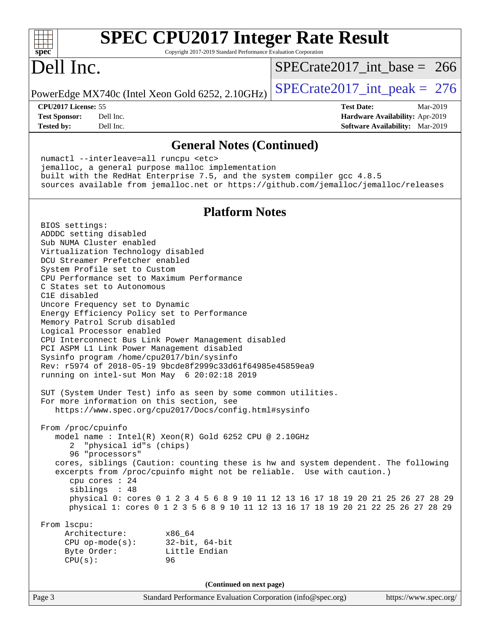| <b>SPEC CPU2017 Integer Rate Result</b><br>spec <sup>®</sup><br>Copyright 2017-2019 Standard Performance Evaluation Corporation                                 |                                 |                       |
|-----------------------------------------------------------------------------------------------------------------------------------------------------------------|---------------------------------|-----------------------|
| Dell Inc.                                                                                                                                                       | $SPECrate2017\_int\_base = 266$ |                       |
| PowerEdge MX740c (Intel Xeon Gold 6252, 2.10GHz)                                                                                                                | $SPECrate2017\_int\_peak = 276$ |                       |
| CPU <sub>2017</sub> License: 55                                                                                                                                 | <b>Test Date:</b>               | Mar-2019              |
| <b>Test Sponsor:</b><br>Dell Inc.                                                                                                                               | Hardware Availability: Apr-2019 |                       |
| <b>Tested by:</b><br>Dell Inc.                                                                                                                                  | Software Availability: Mar-2019 |                       |
| <b>General Notes (Continued)</b>                                                                                                                                |                                 |                       |
| numactl --interleave=all runcpu <etc></etc>                                                                                                                     |                                 |                       |
| jemalloc, a general purpose malloc implementation                                                                                                               |                                 |                       |
| built with the RedHat Enterprise 7.5, and the system compiler gcc 4.8.5<br>sources available from jemalloc.net or https://github.com/jemalloc/jemalloc/releases |                                 |                       |
|                                                                                                                                                                 |                                 |                       |
| <b>Platform Notes</b>                                                                                                                                           |                                 |                       |
| BIOS settings:                                                                                                                                                  |                                 |                       |
| ADDDC setting disabled                                                                                                                                          |                                 |                       |
| Sub NUMA Cluster enabled<br>Virtualization Technology disabled                                                                                                  |                                 |                       |
| DCU Streamer Prefetcher enabled                                                                                                                                 |                                 |                       |
| System Profile set to Custom                                                                                                                                    |                                 |                       |
| CPU Performance set to Maximum Performance<br>C States set to Autonomous                                                                                        |                                 |                       |
| C1E disabled                                                                                                                                                    |                                 |                       |
| Uncore Frequency set to Dynamic<br>Energy Efficiency Policy set to Performance                                                                                  |                                 |                       |
| Memory Patrol Scrub disabled                                                                                                                                    |                                 |                       |
| Logical Processor enabled                                                                                                                                       |                                 |                       |
| CPU Interconnect Bus Link Power Management disabled<br>PCI ASPM L1 Link Power Management disabled                                                               |                                 |                       |
| Sysinfo program /home/cpu2017/bin/sysinfo                                                                                                                       |                                 |                       |
| Rev: r5974 of 2018-05-19 9bcde8f2999c33d61f64985e45859ea9                                                                                                       |                                 |                       |
| running on intel-sut Mon May 6 20:02:18 2019                                                                                                                    |                                 |                       |
| SUT (System Under Test) info as seen by some common utilities.                                                                                                  |                                 |                       |
| For more information on this section, see<br>https://www.spec.org/cpu2017/Docs/config.html#sysinfo                                                              |                                 |                       |
|                                                                                                                                                                 |                                 |                       |
| From /proc/cpuinfo<br>model name: Intel(R) Xeon(R) Gold 6252 CPU @ 2.10GHz                                                                                      |                                 |                       |
| "physical id"s (chips)<br>2                                                                                                                                     |                                 |                       |
| 96 "processors"                                                                                                                                                 |                                 |                       |
| cores, siblings (Caution: counting these is hw and system dependent. The following<br>excerpts from /proc/cpuinfo might not be reliable. Use with caution.)     |                                 |                       |
| cpu cores : 24                                                                                                                                                  |                                 |                       |
| siblings : 48<br>physical 0: cores 0 1 2 3 4 5 6 8 9 10 11 12 13 16 17 18 19 20 21 25 26 27 28 29                                                               |                                 |                       |
| physical 1: cores 0 1 2 3 5 6 8 9 10 11 12 13 16 17 18 19 20 21 22 25 26 27 28 29                                                                               |                                 |                       |
| From 1scpu:                                                                                                                                                     |                                 |                       |
| Architecture:<br>x86_64                                                                                                                                         |                                 |                       |
| $32$ -bit, $64$ -bit<br>$CPU$ op-mode( $s$ ):                                                                                                                   |                                 |                       |
| Little Endian<br>Byte Order:<br>CPU(s):<br>96                                                                                                                   |                                 |                       |
|                                                                                                                                                                 |                                 |                       |
| (Continued on next page)                                                                                                                                        |                                 |                       |
| Page 3<br>Standard Performance Evaluation Corporation (info@spec.org)                                                                                           |                                 | https://www.spec.org/ |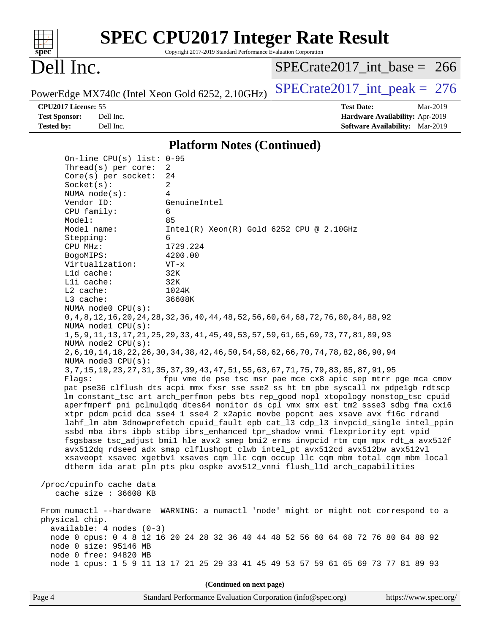|                                                                                      | <b>SPEC CPU2017 Integer Rate Result</b>                                                      |                                                                                                                                                                            |
|--------------------------------------------------------------------------------------|----------------------------------------------------------------------------------------------|----------------------------------------------------------------------------------------------------------------------------------------------------------------------------|
| Spec                                                                                 | Copyright 2017-2019 Standard Performance Evaluation Corporation                              |                                                                                                                                                                            |
| Dell Inc.                                                                            |                                                                                              | $SPECrate2017$ int base = 266                                                                                                                                              |
| PowerEdge MX740c (Intel Xeon Gold 6252, 2.10GHz)                                     |                                                                                              | $SPECrate2017\_int\_peak = 276$                                                                                                                                            |
| CPU2017 License: 55                                                                  |                                                                                              | <b>Test Date:</b><br>Mar-2019                                                                                                                                              |
| <b>Test Sponsor:</b><br>Dell Inc.                                                    |                                                                                              | Hardware Availability: Apr-2019                                                                                                                                            |
| <b>Tested by:</b><br>Dell Inc.                                                       |                                                                                              | Software Availability: Mar-2019                                                                                                                                            |
|                                                                                      | <b>Platform Notes (Continued)</b>                                                            |                                                                                                                                                                            |
| On-line CPU(s) list: $0-95$                                                          |                                                                                              |                                                                                                                                                                            |
| Thread(s) per core:                                                                  | 2                                                                                            |                                                                                                                                                                            |
| Core(s) per socket:                                                                  | 24                                                                                           |                                                                                                                                                                            |
| Socket(s):                                                                           | 2<br>4                                                                                       |                                                                                                                                                                            |
| NUMA $node(s):$<br>Vendor ID:                                                        | GenuineIntel                                                                                 |                                                                                                                                                                            |
| CPU family:                                                                          | 6                                                                                            |                                                                                                                                                                            |
| Model:                                                                               | 85                                                                                           |                                                                                                                                                                            |
| Model name:                                                                          | $Intel(R) Xeon(R) Gold 6252 CPU @ 2.10GHz$                                                   |                                                                                                                                                                            |
| Stepping:                                                                            | 6<br>1729.224                                                                                |                                                                                                                                                                            |
| CPU MHz:<br>BogoMIPS:                                                                | 4200.00                                                                                      |                                                                                                                                                                            |
| Virtualization:                                                                      | $VT - x$                                                                                     |                                                                                                                                                                            |
| L1d cache:                                                                           | 32K                                                                                          |                                                                                                                                                                            |
| Lli cache:                                                                           | 32K                                                                                          |                                                                                                                                                                            |
| L2 cache:                                                                            | 1024K                                                                                        |                                                                                                                                                                            |
| L3 cache:<br>NUMA node0 CPU(s):                                                      | 36608K                                                                                       |                                                                                                                                                                            |
| NUMA nodel CPU(s):                                                                   | 0, 4, 8, 12, 16, 20, 24, 28, 32, 36, 40, 44, 48, 52, 56, 60, 64, 68, 72, 76, 80, 84, 88, 92  |                                                                                                                                                                            |
| NUMA node2 CPU(s):                                                                   | 1, 5, 9, 11, 13, 17, 21, 25, 29, 33, 41, 45, 49, 53, 57, 59, 61, 65, 69, 73, 77, 81, 89, 93  |                                                                                                                                                                            |
| NUMA node3 CPU(s):                                                                   | 2, 6, 10, 14, 18, 22, 26, 30, 34, 38, 42, 46, 50, 54, 58, 62, 66, 70, 74, 78, 82, 86, 90, 94 |                                                                                                                                                                            |
|                                                                                      | 3, 7, 15, 19, 23, 27, 31, 35, 37, 39, 43, 47, 51, 55, 63, 67, 71, 75, 79, 83, 85, 87, 91, 95 |                                                                                                                                                                            |
| Flaqs:                                                                               |                                                                                              | fpu vme de pse tsc msr pae mce cx8 apic sep mtrr pge mca cmov                                                                                                              |
|                                                                                      |                                                                                              | pat pse36 clflush dts acpi mmx fxsr sse sse2 ss ht tm pbe syscall nx pdpelgb rdtscp<br>lm constant_tsc art arch_perfmon pebs bts rep_good nopl xtopology nonstop_tsc cpuid |
|                                                                                      |                                                                                              | aperfmperf pni pclmulqdq dtes64 monitor ds_cpl vmx smx est tm2 ssse3 sdbg fma cx16                                                                                         |
|                                                                                      | xtpr pdcm pcid dca sse4_1 sse4_2 x2apic movbe popcnt aes xsave avx f16c rdrand               |                                                                                                                                                                            |
|                                                                                      |                                                                                              | lahf_lm abm 3dnowprefetch cpuid_fault epb cat_13 cdp_13 invpcid_single intel_ppin                                                                                          |
|                                                                                      | ssbd mba ibrs ibpb stibp ibrs_enhanced tpr_shadow vnmi flexpriority ept vpid                 |                                                                                                                                                                            |
|                                                                                      | avx512dq rdseed adx smap clflushopt clwb intel_pt avx512cd avx512bw avx512vl                 | fsgsbase tsc_adjust bmil hle avx2 smep bmi2 erms invpcid rtm cqm mpx rdt_a avx512f                                                                                         |
|                                                                                      | xsaveopt xsavec xgetbvl xsaves cqm_llc cqm_occup_llc cqm_mbm_total cqm_mbm_local             |                                                                                                                                                                            |
|                                                                                      | dtherm ida arat pln pts pku ospke avx512_vnni flush_lld arch_capabilities                    |                                                                                                                                                                            |
| /proc/cpuinfo cache data                                                             |                                                                                              |                                                                                                                                                                            |
| cache size : 36608 KB                                                                |                                                                                              |                                                                                                                                                                            |
| From numactl --hardware WARNING: a numactl 'node' might or might not correspond to a |                                                                                              |                                                                                                                                                                            |
| physical chip.                                                                       |                                                                                              |                                                                                                                                                                            |
| $available: 4 nodes (0-3)$                                                           | node 0 cpus: 0 4 8 12 16 20 24 28 32 36 40 44 48 52 56 60 64 68 72 76 80 84 88 92            |                                                                                                                                                                            |
| node 0 size: 95146 MB                                                                |                                                                                              |                                                                                                                                                                            |
| node 0 free: 94820 MB                                                                |                                                                                              |                                                                                                                                                                            |
|                                                                                      | node 1 cpus: 1 5 9 11 13 17 21 25 29 33 41 45 49 53 57 59 61 65 69 73 77 81 89 93            |                                                                                                                                                                            |
|                                                                                      | (Continued on next page)                                                                     |                                                                                                                                                                            |
| Page 4                                                                               | Standard Performance Evaluation Corporation (info@spec.org)                                  | https://www.spec.org/                                                                                                                                                      |
|                                                                                      |                                                                                              |                                                                                                                                                                            |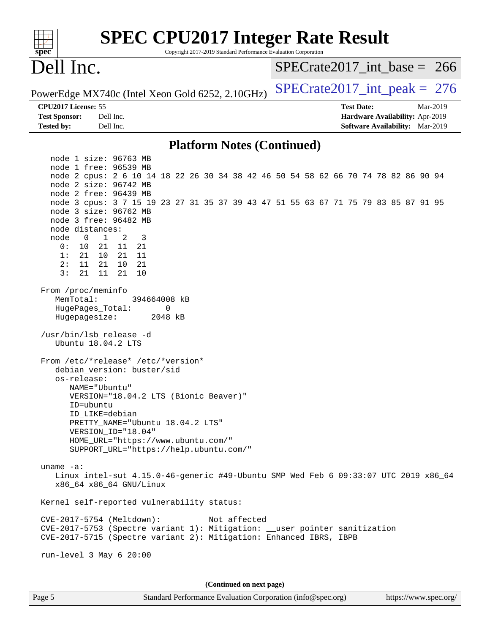| <b>SPEC CPU2017 Integer Rate Result</b><br>Copyright 2017-2019 Standard Performance Evaluation Corporation<br>spec <sup>®</sup>                                                                                                                                                                                    |                                                                  |  |  |  |  |  |  |  |  |
|--------------------------------------------------------------------------------------------------------------------------------------------------------------------------------------------------------------------------------------------------------------------------------------------------------------------|------------------------------------------------------------------|--|--|--|--|--|--|--|--|
| Dell Inc.                                                                                                                                                                                                                                                                                                          | $SPECrate2017\_int\_base = 266$                                  |  |  |  |  |  |  |  |  |
| PowerEdge MX740c (Intel Xeon Gold 6252, 2.10GHz)                                                                                                                                                                                                                                                                   | $SPECrate2017\_int\_peak = 276$                                  |  |  |  |  |  |  |  |  |
| CPU2017 License: 55<br>Dell Inc.<br><b>Test Sponsor:</b>                                                                                                                                                                                                                                                           | <b>Test Date:</b><br>Mar-2019<br>Hardware Availability: Apr-2019 |  |  |  |  |  |  |  |  |
| Dell Inc.<br><b>Tested by:</b>                                                                                                                                                                                                                                                                                     | <b>Software Availability:</b> Mar-2019                           |  |  |  |  |  |  |  |  |
| <b>Platform Notes (Continued)</b>                                                                                                                                                                                                                                                                                  |                                                                  |  |  |  |  |  |  |  |  |
| node 1 size: 96763 MB                                                                                                                                                                                                                                                                                              |                                                                  |  |  |  |  |  |  |  |  |
| node 1 free: 96539 MB<br>node 2 cpus: 2 6 10 14 18 22 26 30 34 38 42 46 50 54 58 62 66 70 74 78 82 86 90 94<br>node 2 size: 96742 MB                                                                                                                                                                               |                                                                  |  |  |  |  |  |  |  |  |
| node 2 free: 96439 MB                                                                                                                                                                                                                                                                                              |                                                                  |  |  |  |  |  |  |  |  |
| node 3 cpus: 3 7 15 19 23 27 31 35 37 39 43 47 51 55 63 67 71 75 79 83 85 87 91 95<br>node 3 size: 96762 MB<br>node 3 free: 96482 MB                                                                                                                                                                               |                                                                  |  |  |  |  |  |  |  |  |
| node distances:<br>node<br>1<br>2<br>3<br>0                                                                                                                                                                                                                                                                        |                                                                  |  |  |  |  |  |  |  |  |
| 11<br>0 :<br>10<br>21<br>21                                                                                                                                                                                                                                                                                        |                                                                  |  |  |  |  |  |  |  |  |
| 1:<br>21 11<br>21<br>10                                                                                                                                                                                                                                                                                            |                                                                  |  |  |  |  |  |  |  |  |
| 2:<br>21<br>10<br>11<br>21<br>3:<br>21<br>11<br>21<br>10                                                                                                                                                                                                                                                           |                                                                  |  |  |  |  |  |  |  |  |
| From /proc/meminfo<br>MemTotal:<br>394664008 kB<br>HugePages Total:<br>0<br>Hugepagesize:<br>2048 kB<br>/usr/bin/lsb_release -d                                                                                                                                                                                    |                                                                  |  |  |  |  |  |  |  |  |
| Ubuntu 18.04.2 LTS                                                                                                                                                                                                                                                                                                 |                                                                  |  |  |  |  |  |  |  |  |
| From /etc/*release* /etc/*version*<br>debian version: buster/sid<br>os-release:<br>NAME="Ubuntu"<br>VERSION="18.04.2 LTS (Bionic Beaver)"<br>ID=ubuntu<br>ID_LIKE=debian<br>PRETTY_NAME="Ubuntu 18.04.2 LTS"<br>VERSION_ID="18.04"<br>HOME_URL="https://www.ubuntu.com/"<br>SUPPORT_URL="https://help.ubuntu.com/" |                                                                  |  |  |  |  |  |  |  |  |
| uname $-a$ :<br>Linux intel-sut 4.15.0-46-generic #49-Ubuntu SMP Wed Feb 6 09:33:07 UTC 2019 x86_64<br>x86_64 x86_64 GNU/Linux                                                                                                                                                                                     |                                                                  |  |  |  |  |  |  |  |  |
| Kernel self-reported vulnerability status:                                                                                                                                                                                                                                                                         |                                                                  |  |  |  |  |  |  |  |  |
| CVE-2017-5754 (Meltdown):<br>Not affected<br>CVE-2017-5753 (Spectre variant 1): Mitigation: __user pointer sanitization<br>CVE-2017-5715 (Spectre variant 2): Mitigation: Enhanced IBRS, IBPB                                                                                                                      |                                                                  |  |  |  |  |  |  |  |  |
| run-level 3 May 6 20:00                                                                                                                                                                                                                                                                                            |                                                                  |  |  |  |  |  |  |  |  |
| (Continued on next page)                                                                                                                                                                                                                                                                                           |                                                                  |  |  |  |  |  |  |  |  |
| Page 5<br>Standard Performance Evaluation Corporation (info@spec.org)                                                                                                                                                                                                                                              | https://www.spec.org/                                            |  |  |  |  |  |  |  |  |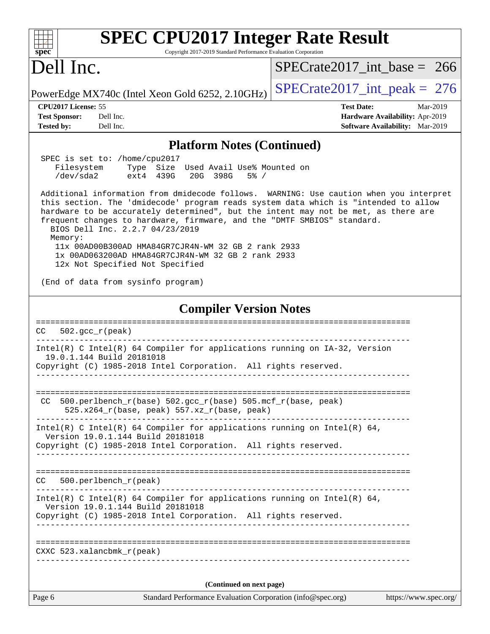| <b>SPEC CPU2017 Integer Rate Result</b>                                                                                                                                                                                                                                                                                                                                                                                                                                                                                                      |                                                                         |
|----------------------------------------------------------------------------------------------------------------------------------------------------------------------------------------------------------------------------------------------------------------------------------------------------------------------------------------------------------------------------------------------------------------------------------------------------------------------------------------------------------------------------------------------|-------------------------------------------------------------------------|
| spec<br>Copyright 2017-2019 Standard Performance Evaluation Corporation<br>Dell Inc.                                                                                                                                                                                                                                                                                                                                                                                                                                                         | $SPECrate2017$ int base = 266                                           |
|                                                                                                                                                                                                                                                                                                                                                                                                                                                                                                                                              | $SPECrate2017\_int\_peak = 276$                                         |
| PowerEdge MX740c (Intel Xeon Gold 6252, 2.10GHz)                                                                                                                                                                                                                                                                                                                                                                                                                                                                                             |                                                                         |
| CPU2017 License: 55<br><b>Test Sponsor:</b><br>Dell Inc.                                                                                                                                                                                                                                                                                                                                                                                                                                                                                     | <b>Test Date:</b><br>Mar-2019<br><b>Hardware Availability: Apr-2019</b> |
| <b>Tested by:</b><br>Dell Inc.                                                                                                                                                                                                                                                                                                                                                                                                                                                                                                               | Software Availability: Mar-2019                                         |
| <b>Platform Notes (Continued)</b>                                                                                                                                                                                                                                                                                                                                                                                                                                                                                                            |                                                                         |
| SPEC is set to: /home/cpu2017                                                                                                                                                                                                                                                                                                                                                                                                                                                                                                                |                                                                         |
| Filesystem Type Size Used Avail Use% Mounted on<br>/dev/sda2<br>ext4 439G<br>20G 398G<br>$5\%$ /                                                                                                                                                                                                                                                                                                                                                                                                                                             |                                                                         |
| Additional information from dmidecode follows. WARNING: Use caution when you interpret<br>this section. The 'dmidecode' program reads system data which is "intended to allow<br>hardware to be accurately determined", but the intent may not be met, as there are<br>frequent changes to hardware, firmware, and the "DMTF SMBIOS" standard.<br>BIOS Dell Inc. 2.2.7 04/23/2019<br>Memory:<br>11x 00AD00B300AD HMA84GR7CJR4N-WM 32 GB 2 rank 2933<br>1x 00AD063200AD HMA84GR7CJR4N-WM 32 GB 2 rank 2933<br>12x Not Specified Not Specified |                                                                         |
| (End of data from sysinfo program)                                                                                                                                                                                                                                                                                                                                                                                                                                                                                                           |                                                                         |
| <b>Compiler Version Notes</b>                                                                                                                                                                                                                                                                                                                                                                                                                                                                                                                |                                                                         |
| $502.\text{gcc\_r}(\text{peak})$<br>СC                                                                                                                                                                                                                                                                                                                                                                                                                                                                                                       |                                                                         |
| Intel(R) C Intel(R) 64 Compiler for applications running on IA-32, Version<br>19.0.1.144 Build 20181018<br>Copyright (C) 1985-2018 Intel Corporation. All rights reserved.                                                                                                                                                                                                                                                                                                                                                                   |                                                                         |
| $500. perlbench_r(base) 502. gcc_r(base) 505. mcf_r(base, peak)$<br>CC.                                                                                                                                                                                                                                                                                                                                                                                                                                                                      |                                                                         |
| $525.x264_r(base, peak) 557.xz_r(base, peak)$                                                                                                                                                                                                                                                                                                                                                                                                                                                                                                |                                                                         |
| Intel(R) C Intel(R) 64 Compiler for applications running on Intel(R) 64,<br>Version 19.0.1.144 Build 20181018                                                                                                                                                                                                                                                                                                                                                                                                                                |                                                                         |
| Copyright (C) 1985-2018 Intel Corporation. All rights reserved.                                                                                                                                                                                                                                                                                                                                                                                                                                                                              |                                                                         |
| $500. perlbench_r (peak)$<br>CC.                                                                                                                                                                                                                                                                                                                                                                                                                                                                                                             |                                                                         |
| Intel(R) C Intel(R) 64 Compiler for applications running on Intel(R) 64,                                                                                                                                                                                                                                                                                                                                                                                                                                                                     |                                                                         |
| Version 19.0.1.144 Build 20181018<br>Copyright (C) 1985-2018 Intel Corporation. All rights reserved.<br>------------                                                                                                                                                                                                                                                                                                                                                                                                                         |                                                                         |
|                                                                                                                                                                                                                                                                                                                                                                                                                                                                                                                                              |                                                                         |
| $CXXC$ 523.xalancbm $k_r$ (peak)                                                                                                                                                                                                                                                                                                                                                                                                                                                                                                             |                                                                         |
|                                                                                                                                                                                                                                                                                                                                                                                                                                                                                                                                              |                                                                         |
| (Continued on next page)                                                                                                                                                                                                                                                                                                                                                                                                                                                                                                                     |                                                                         |
| Page 6<br>Standard Performance Evaluation Corporation (info@spec.org)                                                                                                                                                                                                                                                                                                                                                                                                                                                                        | https://www.spec.org/                                                   |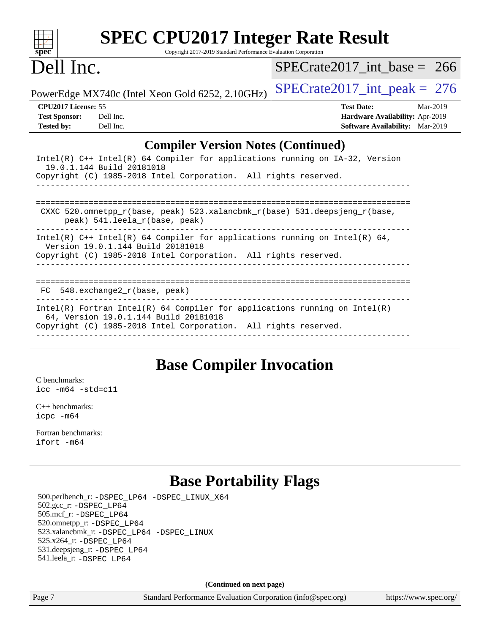| $spec^*$                   | <b>SPEC CPU2017 Integer Rate Result</b><br>Copyright 2017-2019 Standard Performance Evaluation Corporation        |                                        |          |  |
|----------------------------|-------------------------------------------------------------------------------------------------------------------|----------------------------------------|----------|--|
| Dell Inc.                  |                                                                                                                   | $SPECrate2017$ int base = 266          |          |  |
|                            | PowerEdge MX740c (Intel Xeon Gold 6252, 2.10GHz)                                                                  | $SPECrate2017\_int\_peak = 276$        |          |  |
| <b>CPU2017 License: 55</b> |                                                                                                                   | <b>Test Date:</b>                      | Mar-2019 |  |
| <b>Test Sponsor:</b>       | Dell Inc.                                                                                                         | <b>Hardware Availability: Apr-2019</b> |          |  |
| <b>Tested by:</b>          | Dell Inc.                                                                                                         | <b>Software Availability:</b> Mar-2019 |          |  |
|                            | <b>Compiler Version Notes (Continued)</b>                                                                         |                                        |          |  |
|                            | Intel(R) C++ Intel(R) 64 Compiler for applications running on IA-32, Version                                      |                                        |          |  |
|                            | 19.0.1.144 Build 20181018<br>Copyright (C) 1985-2018 Intel Corporation. All rights reserved.                      |                                        |          |  |
|                            |                                                                                                                   |                                        |          |  |
|                            | CXXC 520.omnetpp_r(base, peak) 523.xalancbmk_r(base) 531.deepsjeng_r(base,<br>peak) 541.leela_r(base, peak)       |                                        |          |  |
|                            | Intel(R) $C++$ Intel(R) 64 Compiler for applications running on Intel(R) 64,<br>Version 19.0.1.144 Build 20181018 |                                        |          |  |

Copyright (C) 1985-2018 Intel Corporation. All rights reserved.

------------------------------------------------------------------------------

==============================================================================

 FC 548.exchange2\_r(base, peak) ------------------------------------------------------------------------------

Intel(R) Fortran Intel(R) 64 Compiler for applications running on Intel(R) 64, Version 19.0.1.144 Build 20181018 Copyright (C) 1985-2018 Intel Corporation. All rights reserved. ------------------------------------------------------------------------------

### **[Base Compiler Invocation](http://www.spec.org/auto/cpu2017/Docs/result-fields.html#BaseCompilerInvocation)**

[C benchmarks](http://www.spec.org/auto/cpu2017/Docs/result-fields.html#Cbenchmarks): [icc -m64 -std=c11](http://www.spec.org/cpu2017/results/res2019q3/cpu2017-20190624-15371.flags.html#user_CCbase_intel_icc_64bit_c11_33ee0cdaae7deeeab2a9725423ba97205ce30f63b9926c2519791662299b76a0318f32ddfffdc46587804de3178b4f9328c46fa7c2b0cd779d7a61945c91cd35)

[C++ benchmarks:](http://www.spec.org/auto/cpu2017/Docs/result-fields.html#CXXbenchmarks) [icpc -m64](http://www.spec.org/cpu2017/results/res2019q3/cpu2017-20190624-15371.flags.html#user_CXXbase_intel_icpc_64bit_4ecb2543ae3f1412ef961e0650ca070fec7b7afdcd6ed48761b84423119d1bf6bdf5cad15b44d48e7256388bc77273b966e5eb805aefd121eb22e9299b2ec9d9)

[Fortran benchmarks](http://www.spec.org/auto/cpu2017/Docs/result-fields.html#Fortranbenchmarks): [ifort -m64](http://www.spec.org/cpu2017/results/res2019q3/cpu2017-20190624-15371.flags.html#user_FCbase_intel_ifort_64bit_24f2bb282fbaeffd6157abe4f878425411749daecae9a33200eee2bee2fe76f3b89351d69a8130dd5949958ce389cf37ff59a95e7a40d588e8d3a57e0c3fd751)

### **[Base Portability Flags](http://www.spec.org/auto/cpu2017/Docs/result-fields.html#BasePortabilityFlags)**

 500.perlbench\_r: [-DSPEC\\_LP64](http://www.spec.org/cpu2017/results/res2019q3/cpu2017-20190624-15371.flags.html#b500.perlbench_r_basePORTABILITY_DSPEC_LP64) [-DSPEC\\_LINUX\\_X64](http://www.spec.org/cpu2017/results/res2019q3/cpu2017-20190624-15371.flags.html#b500.perlbench_r_baseCPORTABILITY_DSPEC_LINUX_X64) 502.gcc\_r: [-DSPEC\\_LP64](http://www.spec.org/cpu2017/results/res2019q3/cpu2017-20190624-15371.flags.html#suite_basePORTABILITY502_gcc_r_DSPEC_LP64) 505.mcf\_r: [-DSPEC\\_LP64](http://www.spec.org/cpu2017/results/res2019q3/cpu2017-20190624-15371.flags.html#suite_basePORTABILITY505_mcf_r_DSPEC_LP64) 520.omnetpp\_r: [-DSPEC\\_LP64](http://www.spec.org/cpu2017/results/res2019q3/cpu2017-20190624-15371.flags.html#suite_basePORTABILITY520_omnetpp_r_DSPEC_LP64) 523.xalancbmk\_r: [-DSPEC\\_LP64](http://www.spec.org/cpu2017/results/res2019q3/cpu2017-20190624-15371.flags.html#suite_basePORTABILITY523_xalancbmk_r_DSPEC_LP64) [-DSPEC\\_LINUX](http://www.spec.org/cpu2017/results/res2019q3/cpu2017-20190624-15371.flags.html#b523.xalancbmk_r_baseCXXPORTABILITY_DSPEC_LINUX) 525.x264\_r: [-DSPEC\\_LP64](http://www.spec.org/cpu2017/results/res2019q3/cpu2017-20190624-15371.flags.html#suite_basePORTABILITY525_x264_r_DSPEC_LP64) 531.deepsjeng\_r: [-DSPEC\\_LP64](http://www.spec.org/cpu2017/results/res2019q3/cpu2017-20190624-15371.flags.html#suite_basePORTABILITY531_deepsjeng_r_DSPEC_LP64) 541.leela\_r: [-DSPEC\\_LP64](http://www.spec.org/cpu2017/results/res2019q3/cpu2017-20190624-15371.flags.html#suite_basePORTABILITY541_leela_r_DSPEC_LP64)

**(Continued on next page)**

Page 7 Standard Performance Evaluation Corporation [\(info@spec.org\)](mailto:info@spec.org) <https://www.spec.org/>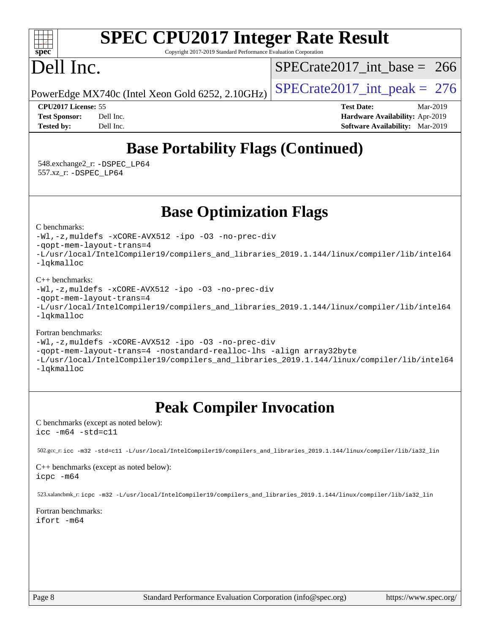# **[SPEC CPU2017 Integer Rate Result](http://www.spec.org/auto/cpu2017/Docs/result-fields.html#SPECCPU2017IntegerRateResult)**

Copyright 2017-2019 Standard Performance Evaluation Corporation

# Dell Inc.

**[spec](http://www.spec.org/)**

 $\pm\pm\prime$ 

[SPECrate2017\\_int\\_base =](http://www.spec.org/auto/cpu2017/Docs/result-fields.html#SPECrate2017intbase) 266

PowerEdge MX740c (Intel Xeon Gold 6252, 2.10GHz)  $\left|$  [SPECrate2017\\_int\\_peak =](http://www.spec.org/auto/cpu2017/Docs/result-fields.html#SPECrate2017intpeak) 276

**[CPU2017 License:](http://www.spec.org/auto/cpu2017/Docs/result-fields.html#CPU2017License)** 55 **[Test Date:](http://www.spec.org/auto/cpu2017/Docs/result-fields.html#TestDate)** Mar-2019 **[Test Sponsor:](http://www.spec.org/auto/cpu2017/Docs/result-fields.html#TestSponsor)** Dell Inc. **[Hardware Availability:](http://www.spec.org/auto/cpu2017/Docs/result-fields.html#HardwareAvailability)** Apr-2019 **[Tested by:](http://www.spec.org/auto/cpu2017/Docs/result-fields.html#Testedby)** Dell Inc. **[Software Availability:](http://www.spec.org/auto/cpu2017/Docs/result-fields.html#SoftwareAvailability)** Mar-2019

### **[Base Portability Flags \(Continued\)](http://www.spec.org/auto/cpu2017/Docs/result-fields.html#BasePortabilityFlags)**

 548.exchange2\_r: [-DSPEC\\_LP64](http://www.spec.org/cpu2017/results/res2019q3/cpu2017-20190624-15371.flags.html#suite_basePORTABILITY548_exchange2_r_DSPEC_LP64) 557.xz\_r: [-DSPEC\\_LP64](http://www.spec.org/cpu2017/results/res2019q3/cpu2017-20190624-15371.flags.html#suite_basePORTABILITY557_xz_r_DSPEC_LP64)

**[Base Optimization Flags](http://www.spec.org/auto/cpu2017/Docs/result-fields.html#BaseOptimizationFlags)**

### [C benchmarks](http://www.spec.org/auto/cpu2017/Docs/result-fields.html#Cbenchmarks):

[-Wl,-z,muldefs](http://www.spec.org/cpu2017/results/res2019q3/cpu2017-20190624-15371.flags.html#user_CCbase_link_force_multiple1_b4cbdb97b34bdee9ceefcfe54f4c8ea74255f0b02a4b23e853cdb0e18eb4525ac79b5a88067c842dd0ee6996c24547a27a4b99331201badda8798ef8a743f577) [-xCORE-AVX512](http://www.spec.org/cpu2017/results/res2019q3/cpu2017-20190624-15371.flags.html#user_CCbase_f-xCORE-AVX512) [-ipo](http://www.spec.org/cpu2017/results/res2019q3/cpu2017-20190624-15371.flags.html#user_CCbase_f-ipo) [-O3](http://www.spec.org/cpu2017/results/res2019q3/cpu2017-20190624-15371.flags.html#user_CCbase_f-O3) [-no-prec-div](http://www.spec.org/cpu2017/results/res2019q3/cpu2017-20190624-15371.flags.html#user_CCbase_f-no-prec-div)

[-qopt-mem-layout-trans=4](http://www.spec.org/cpu2017/results/res2019q3/cpu2017-20190624-15371.flags.html#user_CCbase_f-qopt-mem-layout-trans_fa39e755916c150a61361b7846f310bcdf6f04e385ef281cadf3647acec3f0ae266d1a1d22d972a7087a248fd4e6ca390a3634700869573d231a252c784941a8)

[-L/usr/local/IntelCompiler19/compilers\\_and\\_libraries\\_2019.1.144/linux/compiler/lib/intel64](http://www.spec.org/cpu2017/results/res2019q3/cpu2017-20190624-15371.flags.html#user_CCbase_qkmalloc_link_f25da0aa8cf9bced0533715046f0c2fbfb1a7191e3e496916672e09b4c388a884c4c7e4862cb529343da2264b43416df65c99fd1ddbf5dd13ae6d3130cf47881) [-lqkmalloc](http://www.spec.org/cpu2017/results/res2019q3/cpu2017-20190624-15371.flags.html#user_CCbase_qkmalloc_link_lib_79a818439969f771c6bc311cfd333c00fc099dad35c030f5aab9dda831713d2015205805422f83de8875488a2991c0a156aaa600e1f9138f8fc37004abc96dc5)

### [C++ benchmarks](http://www.spec.org/auto/cpu2017/Docs/result-fields.html#CXXbenchmarks):

[-Wl,-z,muldefs](http://www.spec.org/cpu2017/results/res2019q3/cpu2017-20190624-15371.flags.html#user_CXXbase_link_force_multiple1_b4cbdb97b34bdee9ceefcfe54f4c8ea74255f0b02a4b23e853cdb0e18eb4525ac79b5a88067c842dd0ee6996c24547a27a4b99331201badda8798ef8a743f577) [-xCORE-AVX512](http://www.spec.org/cpu2017/results/res2019q3/cpu2017-20190624-15371.flags.html#user_CXXbase_f-xCORE-AVX512) [-ipo](http://www.spec.org/cpu2017/results/res2019q3/cpu2017-20190624-15371.flags.html#user_CXXbase_f-ipo) [-O3](http://www.spec.org/cpu2017/results/res2019q3/cpu2017-20190624-15371.flags.html#user_CXXbase_f-O3) [-no-prec-div](http://www.spec.org/cpu2017/results/res2019q3/cpu2017-20190624-15371.flags.html#user_CXXbase_f-no-prec-div)

[-qopt-mem-layout-trans=4](http://www.spec.org/cpu2017/results/res2019q3/cpu2017-20190624-15371.flags.html#user_CXXbase_f-qopt-mem-layout-trans_fa39e755916c150a61361b7846f310bcdf6f04e385ef281cadf3647acec3f0ae266d1a1d22d972a7087a248fd4e6ca390a3634700869573d231a252c784941a8)

[-L/usr/local/IntelCompiler19/compilers\\_and\\_libraries\\_2019.1.144/linux/compiler/lib/intel64](http://www.spec.org/cpu2017/results/res2019q3/cpu2017-20190624-15371.flags.html#user_CXXbase_qkmalloc_link_f25da0aa8cf9bced0533715046f0c2fbfb1a7191e3e496916672e09b4c388a884c4c7e4862cb529343da2264b43416df65c99fd1ddbf5dd13ae6d3130cf47881) [-lqkmalloc](http://www.spec.org/cpu2017/results/res2019q3/cpu2017-20190624-15371.flags.html#user_CXXbase_qkmalloc_link_lib_79a818439969f771c6bc311cfd333c00fc099dad35c030f5aab9dda831713d2015205805422f83de8875488a2991c0a156aaa600e1f9138f8fc37004abc96dc5)

### [Fortran benchmarks](http://www.spec.org/auto/cpu2017/Docs/result-fields.html#Fortranbenchmarks):

[-Wl,-z,muldefs](http://www.spec.org/cpu2017/results/res2019q3/cpu2017-20190624-15371.flags.html#user_FCbase_link_force_multiple1_b4cbdb97b34bdee9ceefcfe54f4c8ea74255f0b02a4b23e853cdb0e18eb4525ac79b5a88067c842dd0ee6996c24547a27a4b99331201badda8798ef8a743f577) [-xCORE-AVX512](http://www.spec.org/cpu2017/results/res2019q3/cpu2017-20190624-15371.flags.html#user_FCbase_f-xCORE-AVX512) [-ipo](http://www.spec.org/cpu2017/results/res2019q3/cpu2017-20190624-15371.flags.html#user_FCbase_f-ipo) [-O3](http://www.spec.org/cpu2017/results/res2019q3/cpu2017-20190624-15371.flags.html#user_FCbase_f-O3) [-no-prec-div](http://www.spec.org/cpu2017/results/res2019q3/cpu2017-20190624-15371.flags.html#user_FCbase_f-no-prec-div)

[-qopt-mem-layout-trans=4](http://www.spec.org/cpu2017/results/res2019q3/cpu2017-20190624-15371.flags.html#user_FCbase_f-qopt-mem-layout-trans_fa39e755916c150a61361b7846f310bcdf6f04e385ef281cadf3647acec3f0ae266d1a1d22d972a7087a248fd4e6ca390a3634700869573d231a252c784941a8) [-nostandard-realloc-lhs](http://www.spec.org/cpu2017/results/res2019q3/cpu2017-20190624-15371.flags.html#user_FCbase_f_2003_std_realloc_82b4557e90729c0f113870c07e44d33d6f5a304b4f63d4c15d2d0f1fab99f5daaed73bdb9275d9ae411527f28b936061aa8b9c8f2d63842963b95c9dd6426b8a) [-align array32byte](http://www.spec.org/cpu2017/results/res2019q3/cpu2017-20190624-15371.flags.html#user_FCbase_align_array32byte_b982fe038af199962ba9a80c053b8342c548c85b40b8e86eb3cc33dee0d7986a4af373ac2d51c3f7cf710a18d62fdce2948f201cd044323541f22fc0fffc51b6)

[-L/usr/local/IntelCompiler19/compilers\\_and\\_libraries\\_2019.1.144/linux/compiler/lib/intel64](http://www.spec.org/cpu2017/results/res2019q3/cpu2017-20190624-15371.flags.html#user_FCbase_qkmalloc_link_f25da0aa8cf9bced0533715046f0c2fbfb1a7191e3e496916672e09b4c388a884c4c7e4862cb529343da2264b43416df65c99fd1ddbf5dd13ae6d3130cf47881) [-lqkmalloc](http://www.spec.org/cpu2017/results/res2019q3/cpu2017-20190624-15371.flags.html#user_FCbase_qkmalloc_link_lib_79a818439969f771c6bc311cfd333c00fc099dad35c030f5aab9dda831713d2015205805422f83de8875488a2991c0a156aaa600e1f9138f8fc37004abc96dc5)

### **[Peak Compiler Invocation](http://www.spec.org/auto/cpu2017/Docs/result-fields.html#PeakCompilerInvocation)**

[C benchmarks \(except as noted below\)](http://www.spec.org/auto/cpu2017/Docs/result-fields.html#Cbenchmarksexceptasnotedbelow): [icc -m64 -std=c11](http://www.spec.org/cpu2017/results/res2019q3/cpu2017-20190624-15371.flags.html#user_CCpeak_intel_icc_64bit_c11_33ee0cdaae7deeeab2a9725423ba97205ce30f63b9926c2519791662299b76a0318f32ddfffdc46587804de3178b4f9328c46fa7c2b0cd779d7a61945c91cd35)

502.gcc\_r: [icc -m32 -std=c11 -L/usr/local/IntelCompiler19/compilers\\_and\\_libraries\\_2019.1.144/linux/compiler/lib/ia32\\_lin](http://www.spec.org/cpu2017/results/res2019q3/cpu2017-20190624-15371.flags.html#user_peakCCLD502_gcc_r_intel_icc_40453ff6bf9521e1d4c2d3e2fb99253a88fa516366d57fe908127cec2d2803e1a519020f7199618d366f5331d17d60a40bdca38a56a807895183dcecb671b0e5)

#### [C++ benchmarks \(except as noted below\)](http://www.spec.org/auto/cpu2017/Docs/result-fields.html#CXXbenchmarksexceptasnotedbelow): [icpc -m64](http://www.spec.org/cpu2017/results/res2019q3/cpu2017-20190624-15371.flags.html#user_CXXpeak_intel_icpc_64bit_4ecb2543ae3f1412ef961e0650ca070fec7b7afdcd6ed48761b84423119d1bf6bdf5cad15b44d48e7256388bc77273b966e5eb805aefd121eb22e9299b2ec9d9)

523.xalancbmk\_r: [icpc -m32 -L/usr/local/IntelCompiler19/compilers\\_and\\_libraries\\_2019.1.144/linux/compiler/lib/ia32\\_lin](http://www.spec.org/cpu2017/results/res2019q3/cpu2017-20190624-15371.flags.html#user_peakCXXLD523_xalancbmk_r_intel_icpc_da1545662a59c569b62a27824af614167f9a0289efc0155d279b219af3bd2ccb3c10a77eb36bcb264d681e48d9166bbcec9d21ef2c85e5a63a687a8887ddded7)

[Fortran benchmarks](http://www.spec.org/auto/cpu2017/Docs/result-fields.html#Fortranbenchmarks): [ifort -m64](http://www.spec.org/cpu2017/results/res2019q3/cpu2017-20190624-15371.flags.html#user_FCpeak_intel_ifort_64bit_24f2bb282fbaeffd6157abe4f878425411749daecae9a33200eee2bee2fe76f3b89351d69a8130dd5949958ce389cf37ff59a95e7a40d588e8d3a57e0c3fd751)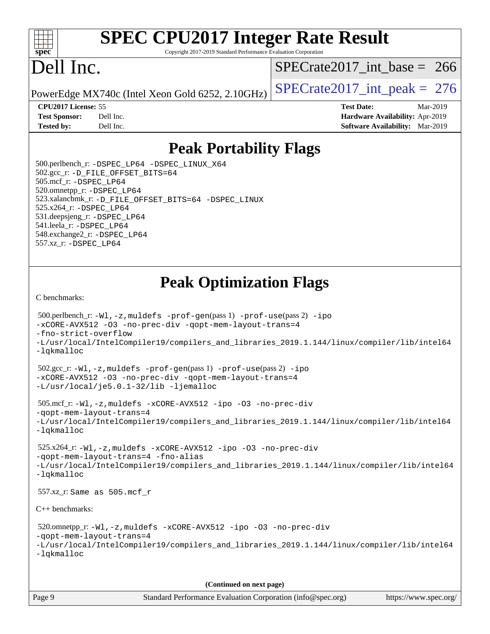

# **[SPEC CPU2017 Integer Rate Result](http://www.spec.org/auto/cpu2017/Docs/result-fields.html#SPECCPU2017IntegerRateResult)**

Copyright 2017-2019 Standard Performance Evaluation Corporation

## Dell Inc.

[SPECrate2017\\_int\\_base =](http://www.spec.org/auto/cpu2017/Docs/result-fields.html#SPECrate2017intbase) 266

PowerEdge MX740c (Intel Xeon Gold 6252, 2.10GHz)  $\left|$  [SPECrate2017\\_int\\_peak =](http://www.spec.org/auto/cpu2017/Docs/result-fields.html#SPECrate2017intpeak) 276

**[Tested by:](http://www.spec.org/auto/cpu2017/Docs/result-fields.html#Testedby)** Dell Inc. **[Software Availability:](http://www.spec.org/auto/cpu2017/Docs/result-fields.html#SoftwareAvailability)** Mar-2019

**[CPU2017 License:](http://www.spec.org/auto/cpu2017/Docs/result-fields.html#CPU2017License)** 55 **[Test Date:](http://www.spec.org/auto/cpu2017/Docs/result-fields.html#TestDate)** Mar-2019 **[Test Sponsor:](http://www.spec.org/auto/cpu2017/Docs/result-fields.html#TestSponsor)** Dell Inc. **[Hardware Availability:](http://www.spec.org/auto/cpu2017/Docs/result-fields.html#HardwareAvailability)** Apr-2019

### **[Peak Portability Flags](http://www.spec.org/auto/cpu2017/Docs/result-fields.html#PeakPortabilityFlags)**

 500.perlbench\_r: [-DSPEC\\_LP64](http://www.spec.org/cpu2017/results/res2019q3/cpu2017-20190624-15371.flags.html#b500.perlbench_r_peakPORTABILITY_DSPEC_LP64) [-DSPEC\\_LINUX\\_X64](http://www.spec.org/cpu2017/results/res2019q3/cpu2017-20190624-15371.flags.html#b500.perlbench_r_peakCPORTABILITY_DSPEC_LINUX_X64) 502.gcc\_r: [-D\\_FILE\\_OFFSET\\_BITS=64](http://www.spec.org/cpu2017/results/res2019q3/cpu2017-20190624-15371.flags.html#user_peakPORTABILITY502_gcc_r_file_offset_bits_64_5ae949a99b284ddf4e95728d47cb0843d81b2eb0e18bdfe74bbf0f61d0b064f4bda2f10ea5eb90e1dcab0e84dbc592acfc5018bc955c18609f94ddb8d550002c) 505.mcf\_r: [-DSPEC\\_LP64](http://www.spec.org/cpu2017/results/res2019q3/cpu2017-20190624-15371.flags.html#suite_peakPORTABILITY505_mcf_r_DSPEC_LP64) 520.omnetpp\_r: [-DSPEC\\_LP64](http://www.spec.org/cpu2017/results/res2019q3/cpu2017-20190624-15371.flags.html#suite_peakPORTABILITY520_omnetpp_r_DSPEC_LP64) 523.xalancbmk\_r: [-D\\_FILE\\_OFFSET\\_BITS=64](http://www.spec.org/cpu2017/results/res2019q3/cpu2017-20190624-15371.flags.html#user_peakPORTABILITY523_xalancbmk_r_file_offset_bits_64_5ae949a99b284ddf4e95728d47cb0843d81b2eb0e18bdfe74bbf0f61d0b064f4bda2f10ea5eb90e1dcab0e84dbc592acfc5018bc955c18609f94ddb8d550002c) [-DSPEC\\_LINUX](http://www.spec.org/cpu2017/results/res2019q3/cpu2017-20190624-15371.flags.html#b523.xalancbmk_r_peakCXXPORTABILITY_DSPEC_LINUX) 525.x264\_r: [-DSPEC\\_LP64](http://www.spec.org/cpu2017/results/res2019q3/cpu2017-20190624-15371.flags.html#suite_peakPORTABILITY525_x264_r_DSPEC_LP64) 531.deepsjeng\_r: [-DSPEC\\_LP64](http://www.spec.org/cpu2017/results/res2019q3/cpu2017-20190624-15371.flags.html#suite_peakPORTABILITY531_deepsjeng_r_DSPEC_LP64) 541.leela\_r: [-DSPEC\\_LP64](http://www.spec.org/cpu2017/results/res2019q3/cpu2017-20190624-15371.flags.html#suite_peakPORTABILITY541_leela_r_DSPEC_LP64) 548.exchange2\_r: [-DSPEC\\_LP64](http://www.spec.org/cpu2017/results/res2019q3/cpu2017-20190624-15371.flags.html#suite_peakPORTABILITY548_exchange2_r_DSPEC_LP64) 557.xz\_r: [-DSPEC\\_LP64](http://www.spec.org/cpu2017/results/res2019q3/cpu2017-20190624-15371.flags.html#suite_peakPORTABILITY557_xz_r_DSPEC_LP64)

### **[Peak Optimization Flags](http://www.spec.org/auto/cpu2017/Docs/result-fields.html#PeakOptimizationFlags)**

[C benchmarks](http://www.spec.org/auto/cpu2017/Docs/result-fields.html#Cbenchmarks):

```
 500.perlbench_r: -Wl,-z,muldefs -prof-gen(pass 1) -prof-use(pass 2) -ipo
-xCORE-AVX512 -O3 -no-prec-div -qopt-mem-layout-trans=4
-fno-strict-overflow
-L/usr/local/IntelCompiler19/compilers_and_libraries_2019.1.144/linux/compiler/lib/intel64
-lqkmalloc
 502.gcc_r: -Wl,-z,muldefs -prof-gen(pass 1) -prof-use(pass 2) -ipo
-xCORE-AVX512 -O3 -no-prec-div -qopt-mem-layout-trans=4
-L/usr/local/je5.0.1-32/lib -ljemalloc
 505.mcf_r: -Wl,-z,muldefs -xCORE-AVX512 -ipo -O3 -no-prec-div
-qopt-mem-layout-trans=4
-L/usr/local/IntelCompiler19/compilers_and_libraries_2019.1.144/linux/compiler/lib/intel64
-lqkmalloc
 525.x264_r: -Wl,-z,muldefs -xCORE-AVX512 -ipo -O3 -no-prec-div
-qopt-mem-layout-trans=4 -fno-alias
-L/usr/local/IntelCompiler19/compilers_and_libraries_2019.1.144/linux/compiler/lib/intel64
-lqkmalloc
 557.xz_r: Same as 505.mcf_r
C++ benchmarks: 
 520.omnetpp_r: -Wl,-z,muldefs -xCORE-AVX512 -ipo -O3 -no-prec-div
-qopt-mem-layout-trans=4
-L/usr/local/IntelCompiler19/compilers_and_libraries_2019.1.144/linux/compiler/lib/intel64
-lqkmalloc
                                      (Continued on next page)
```